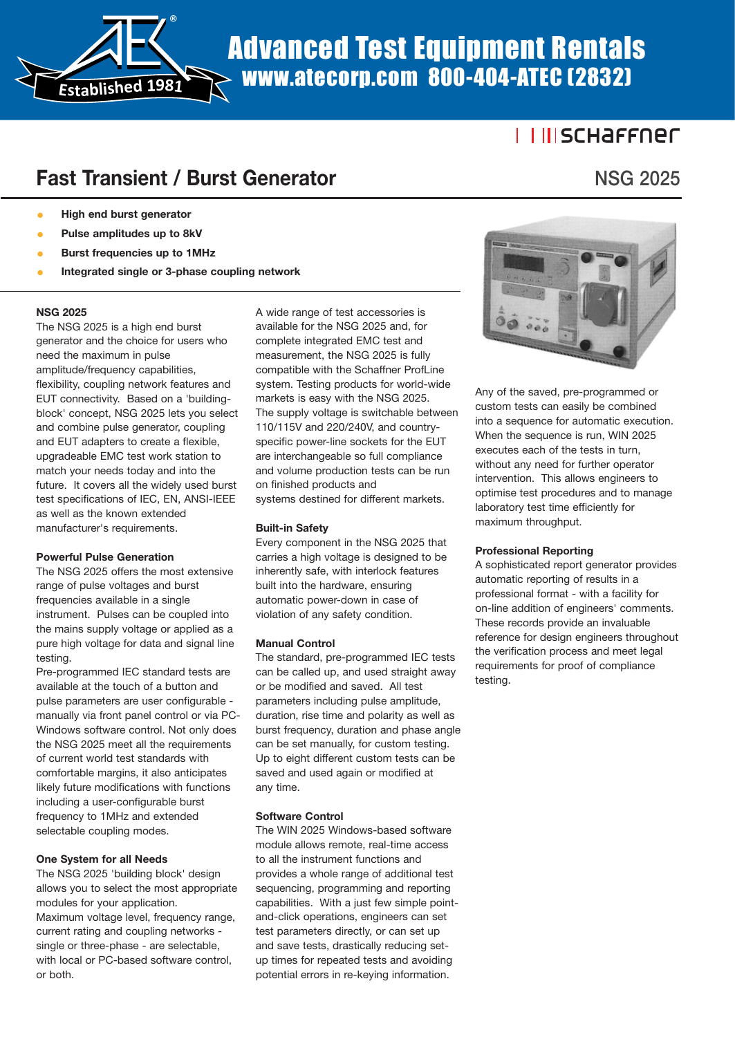Advanced Test Equipment Rentals www.atecorp.com 800-404-ATEC (2832)

### <u>I IIISCHAFFNEC</u>

# **Fast Transient / Burst Generator**

®

**High end burst generator** 

**Established <sup>1</sup>981**

- Pulse amplitudes up to 8kV
- **Burst frequencies up to 1MHz Integrated single or 3-phase coupling network**

#### **NSG 2025**

The NSG 2025 is a high end burst generator and the choice for users who need the maximum in pulse amplitude/frequency capabilities, flexibility, coupling network features and EUT connectivity. Based on a 'buildingblock' concept, NSG 2025 lets you select and combine pulse generator, coupling and EUT adapters to create a flexible, upgradeable EMC test work station to match your needs today and into the future. It covers all the widely used burst test specifications of IEC, EN, ANSI-IEEE as well as the known extended manufacturer's requirements.

#### **Powerful Pulse Generation**

The NSG 2025 offers the most extensive range of pulse voltages and burst frequencies available in a single instrument. Pulses can be coupled into the mains supply voltage or applied as a pure high voltage for data and signal line testing.

Pre-programmed IEC standard tests are available at the touch of a button and pulse parameters are user configurable manually via front panel control or via PC-Windows software control. Not only does the NSG 2025 meet all the requirements of current world test standards with comfortable margins, it also anticipates likely future modifications with functions including a user-configurable burst frequency to 1MHz and extended selectable coupling modes.

#### **One System for all Needs**

The NSG 2025 'building block' design allows you to select the most appropriate modules for your application. Maximum voltage level, frequency range, current rating and coupling networks single or three-phase - are selectable, with local or PC-based software control, or both.

A wide range of test accessories is available for the NSG 2025 and, for complete integrated EMC test and measurement, the NSG 2025 is fully compatible with the Schaffner ProfLine system. Testing products for world-wide markets is easy with the NSG 2025. The supply voltage is switchable between 110/115V and 220/240V, and countryspecific power-line sockets for the EUT are interchangeable so full compliance and volume production tests can be run on finished products and systems destined for different markets.

#### **Built-in Safety**

Every component in the NSG 2025 that carries a high voltage is designed to be inherently safe, with interlock features built into the hardware, ensuring automatic power-down in case of violation of any safety condition.

#### **Manual Control**

The standard, pre-programmed IEC tests can be called up, and used straight away or be modified and saved. All test parameters including pulse amplitude, duration, rise time and polarity as well as burst frequency, duration and phase angle can be set manually, for custom testing. Up to eight different custom tests can be saved and used again or modified at any time.

#### **Software Control**

The WIN 2025 Windows-based software module allows remote, real-time access to all the instrument functions and provides a whole range of additional test sequencing, programming and reporting capabilities. With a just few simple pointand-click operations, engineers can set test parameters directly, or can set up and save tests, drastically reducing setup times for repeated tests and avoiding potential errors in re-keying information.



Any of the saved, pre-programmed or custom tests can easily be combined into a sequence for automatic execution. When the sequence is run, WIN 2025 executes each of the tests in turn, without any need for further operator intervention. This allows engineers to optimise test procedures and to manage laboratory test time efficiently for maximum throughput.

#### **Professional Reporting**

A sophisticated report generator provides automatic reporting of results in a professional format - with a facility for on-line addition of engineers' comments. These records provide an invaluable reference for design engineers throughout the verification process and meet legal requirements for proof of compliance testing.

# **NSG 2025**